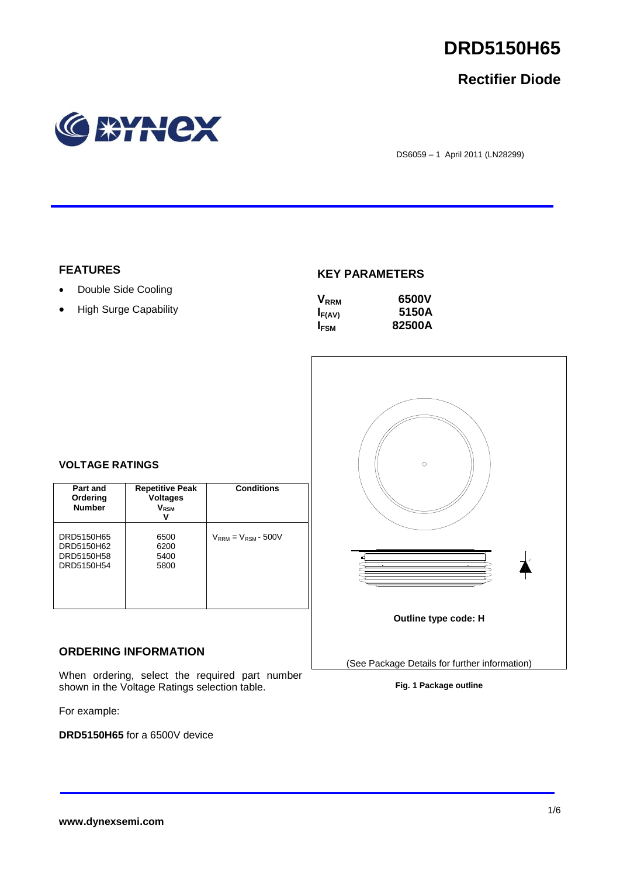

## **Rectifier Diode**



DS6059 – 1 April 2011 (LN28299)

## **FEATURES**

- Double Side Cooling
- High Surge Capability

## **KEY PARAMETERS**

| $\mathsf{V}_{\scriptscriptstyle\sf RRM}$ | 6500V  |
|------------------------------------------|--------|
| $I_{F(AV)}$                              | 5150A  |
| <b>IFSM</b>                              | 82500A |



## **VOLTAGE RATINGS**

| Part and<br>Ordering<br><b>Number</b>                | <b>Repetitive Peak</b><br><b>Voltages</b><br>$V_{\rm RSM}$ | <b>Conditions</b>          |
|------------------------------------------------------|------------------------------------------------------------|----------------------------|
| DRD5150H65<br>DRD5150H62<br>DRD5150H58<br>DRD5150H54 | 6500<br>6200<br>5400<br>5800                               | $V_{RRM} = V_{RSM}$ - 500V |

## **ORDERING INFORMATION**

When ordering, select the required part number shown in the Voltage Ratings selection table.

For example:

**DRD5150H65** for a 6500V device

**Fig. 1 Package outline**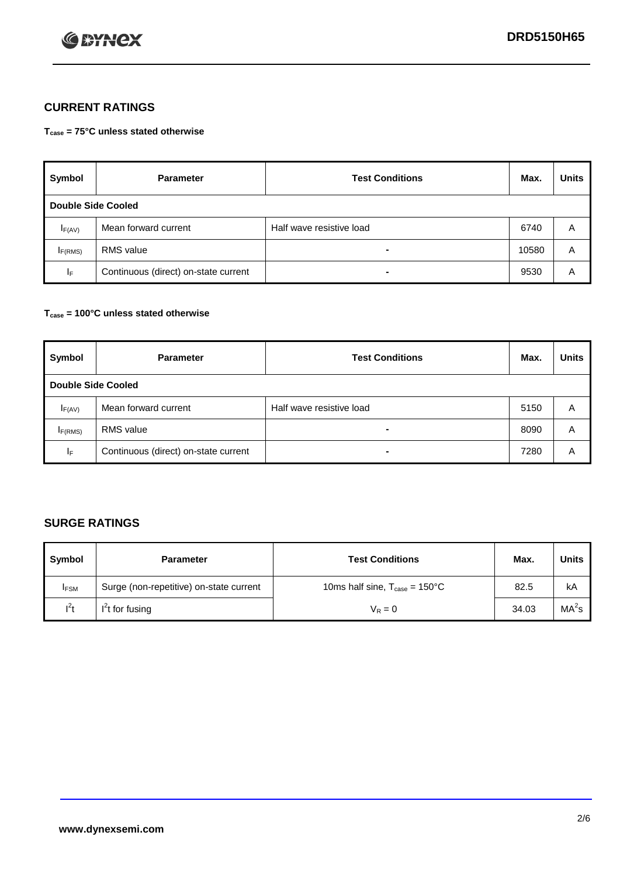

## **CURRENT RATINGS**

**Tcase = 75°C unless stated otherwise**

| Symbol             | <b>Parameter</b>                     | <b>Test Conditions</b>   | Max.  | <b>Units</b> |  |
|--------------------|--------------------------------------|--------------------------|-------|--------------|--|
| Double Side Cooled |                                      |                          |       |              |  |
| $I_{F(AV)}$        | Mean forward current                 | Half wave resistive load | 6740  | A            |  |
| IF(RMS)            | <b>RMS</b> value                     | $\blacksquare$           | 10580 | A            |  |
| IF.                | Continuous (direct) on-state current | -                        | 9530  | Α            |  |

### **Tcase = 100°C unless stated otherwise**

| Symbol              | <b>Parameter</b>                     | <b>Test Conditions</b>   | Max. | <b>Units</b> |  |
|---------------------|--------------------------------------|--------------------------|------|--------------|--|
|                     | <b>Double Side Cooled</b>            |                          |      |              |  |
| $I_{F(AV)}$         | Mean forward current                 | Half wave resistive load | 5150 | Α            |  |
| I <sub>F(RMS)</sub> | <b>RMS</b> value                     | $\overline{\phantom{0}}$ | 8090 | A            |  |
| IF                  | Continuous (direct) on-state current |                          | 7280 | A            |  |

## **SURGE RATINGS**

| Symbol      | <b>Parameter</b>                        | <b>Test Conditions</b>                            | Max.  | <b>Units</b> |
|-------------|-----------------------------------------|---------------------------------------------------|-------|--------------|
| <b>IFSM</b> | Surge (non-repetitive) on-state current | 10ms half sine, $T_{\text{case}} = 150^{\circ}$ C | 82.5  | kA           |
| $I^2t$      | I't for fusing                          | $V_R = 0$                                         | 34.03 | $MA^2s$      |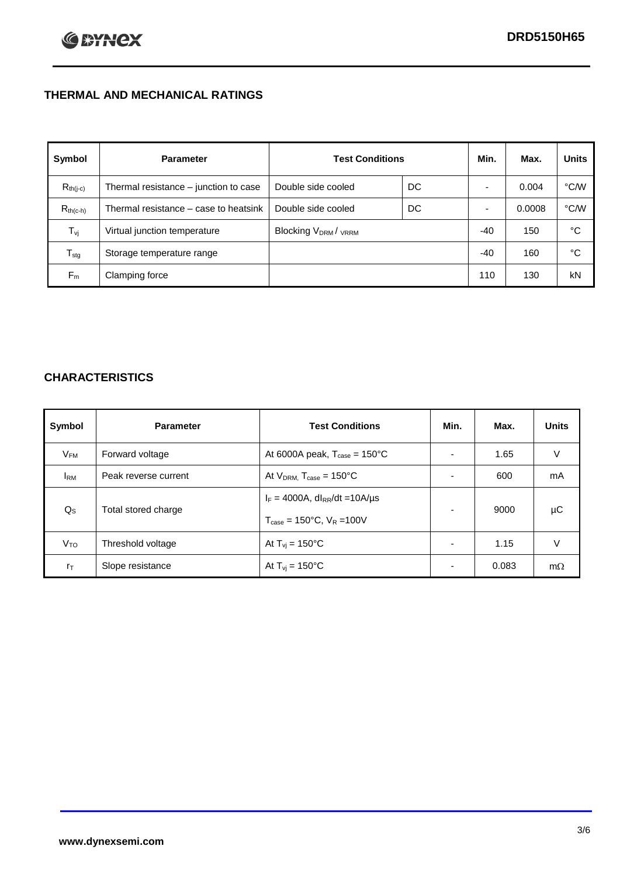## **THERMAL AND MECHANICAL RATINGS**

| Symbol           | <b>Parameter</b>                      | <b>Test Conditions</b>                      |    | Min.  | Max.   | <b>Units</b> |
|------------------|---------------------------------------|---------------------------------------------|----|-------|--------|--------------|
| $R_{th(j-c)}$    | Thermal resistance - junction to case | Double side cooled                          | DC |       | 0.004  | °C/W         |
| $R_{th(c-h)}$    | Thermal resistance – case to heatsink | Double side cooled                          | DC |       | 0.0008 | °C/W         |
| $T_{\rm vj}$     | Virtual junction temperature          | Blocking V <sub>DRM</sub> / <sub>VRRM</sub> |    | $-40$ | 150    | °C           |
| $T_{\text{stg}}$ | Storage temperature range             |                                             |    | $-40$ | 160    | °C           |
| $F_m$            | Clamping force                        |                                             |    | 110   | 130    | kN           |

## **CHARACTERISTICS**

| Symbol                  | <b>Parameter</b>     | <b>Test Conditions</b>                                                                           | Min.           | Max.  | <b>Units</b> |
|-------------------------|----------------------|--------------------------------------------------------------------------------------------------|----------------|-------|--------------|
| $V_{FM}$                | Forward voltage      | At 6000A peak, $T_{\text{case}} = 150^{\circ}$ C                                                 |                | 1.65  | V            |
| <b>IRM</b>              | Peak reverse current | At $V_{DRM}$ , $T_{case} = 150^{\circ}$ C                                                        |                | 600   | mA           |
| $\mathsf{Q}_\mathsf{S}$ | Total stored charge  | $I_F = 4000A$ , dl <sub>RR</sub> /dt = 10A/us<br>$T_{\text{case}} = 150^{\circ}$ C, $V_R = 100V$ |                | 9000  | μC           |
| V <sub>TO</sub>         | Threshold voltage    | At $T_{vi} = 150^{\circ}$ C                                                                      | $\blacksquare$ | 1.15  | V            |
| $r_{\text{T}}$          | Slope resistance     | At $T_{vi} = 150^{\circ}$ C                                                                      |                | 0.083 | $m\Omega$    |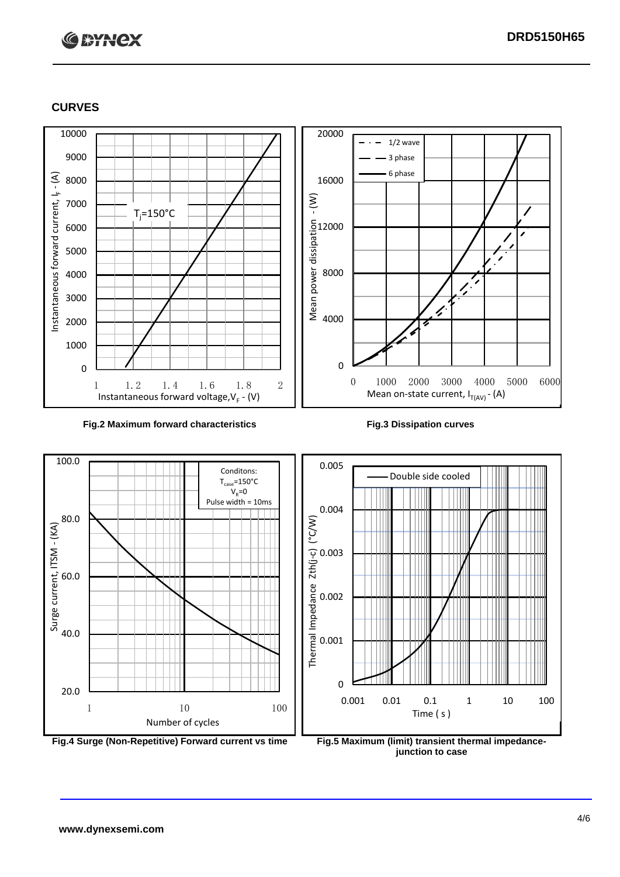# **C BYNCX**

## **CURVES**



### **Fig.2 Maximum forward characteristics Fig.3 Dissipation curves**



**junction to case**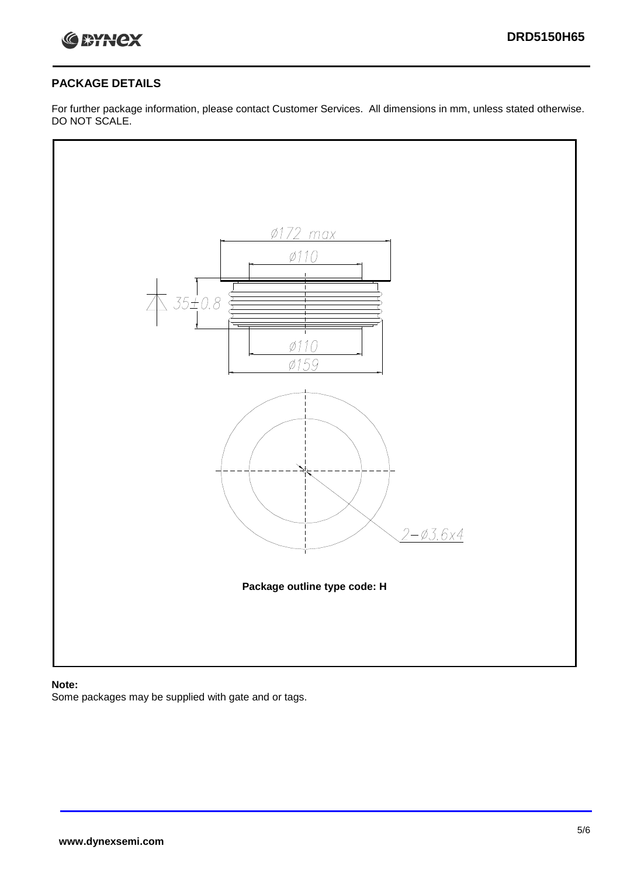

## **PACKAGE DETAILS**

For further package information, please contact Customer Services. All dimensions in mm, unless stated otherwise. DO NOT SCALE.



## **Note:**

Some packages may be supplied with gate and or tags.